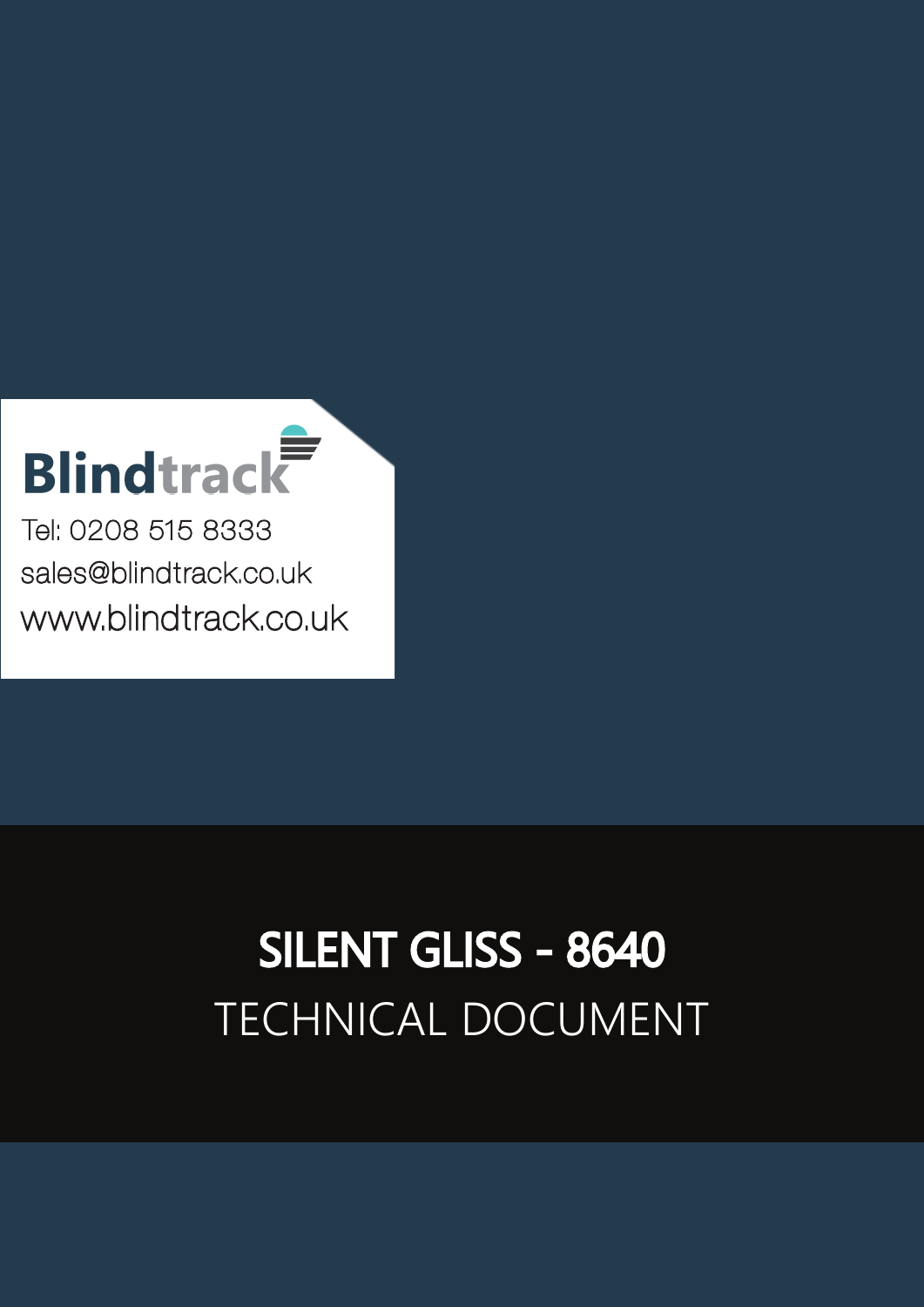# **Blindtrack**

Tel: 0208 515 8333 [sales@blindtrack.co.uk](mailto:sales%40blindtrack.co.uk?subject=) [www.blindtrack.co.uk](http://www.blindtrack.co.uk)

# TECHNICAL DOCUMENT SILENT GLISS - 8640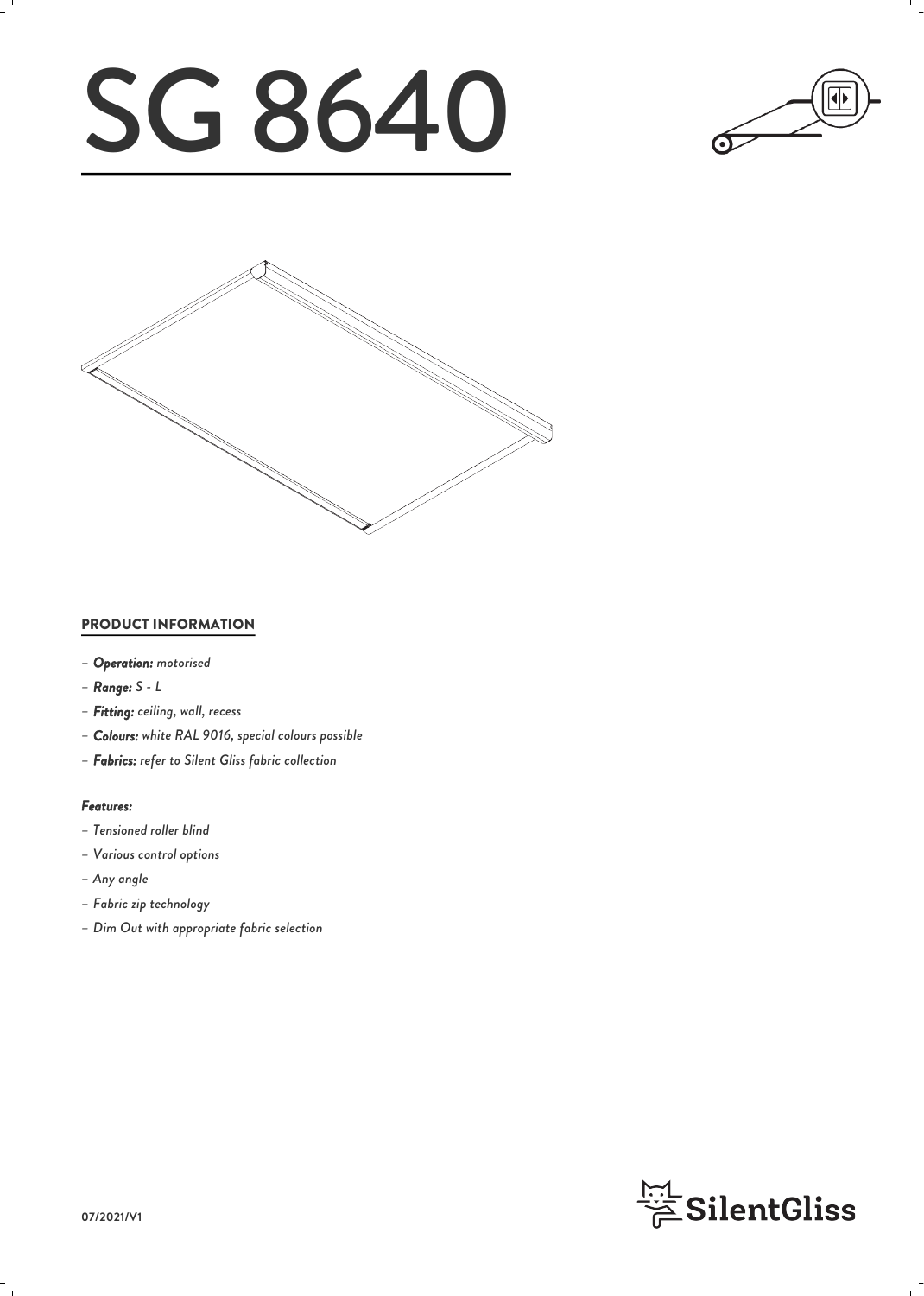# SG 8640





## PRODUCT INFORMATION

- *– Operation: motorised*
- *– Range: S L*
- *– Fitting: ceiling, wall, recess*
- *– Colours: white RAL 9016, special colours possible*
- *– Fabrics: refer to Silent Gliss fabric collection*

#### *Features:*

- *– Tensioned roller blind*
- *– Various control options*
- *– Any angle*
- *– Fabric zip technology*
- *– Dim Out with appropriate fabric selection*

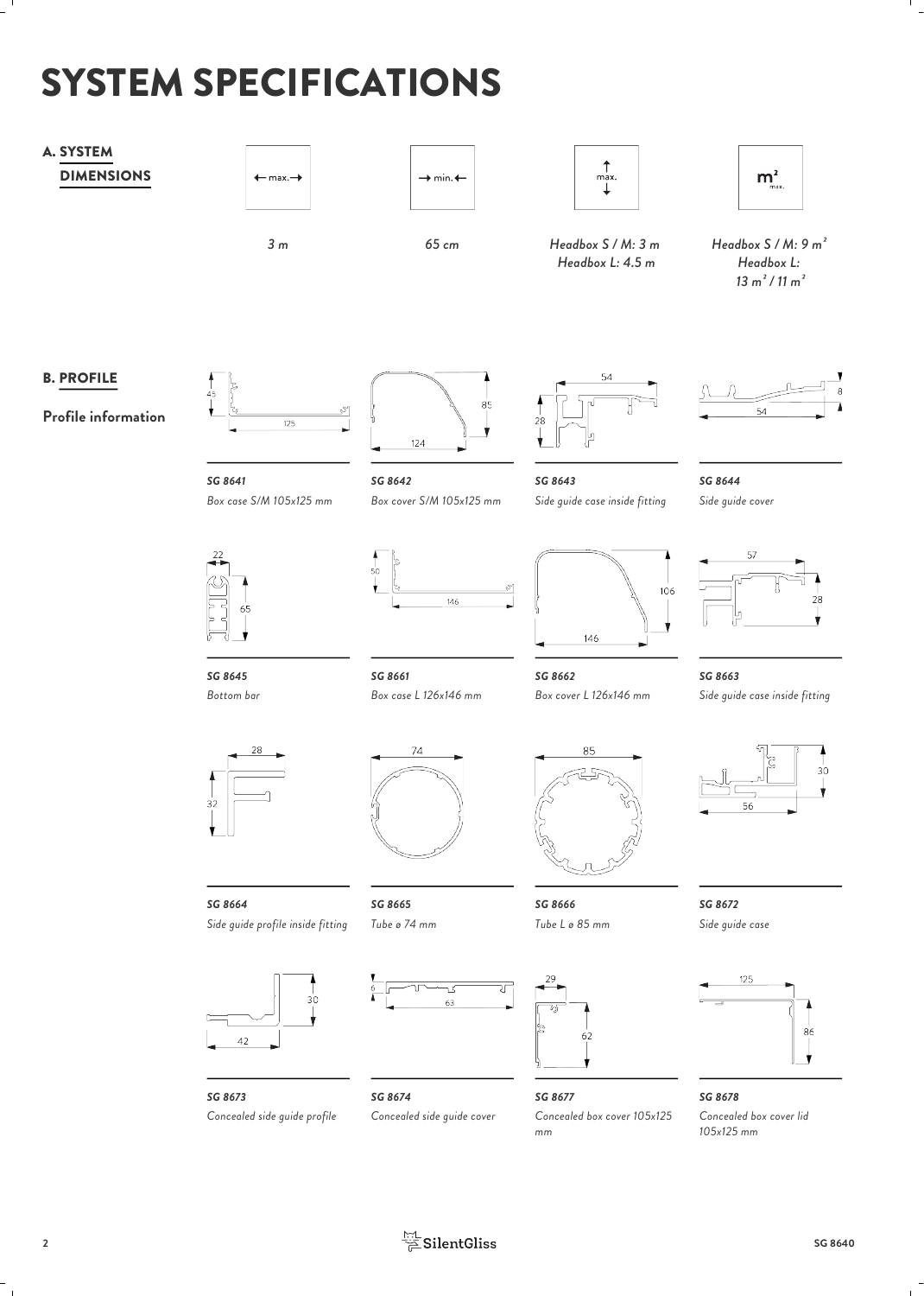# SYSTEM SPECIFICATIONS

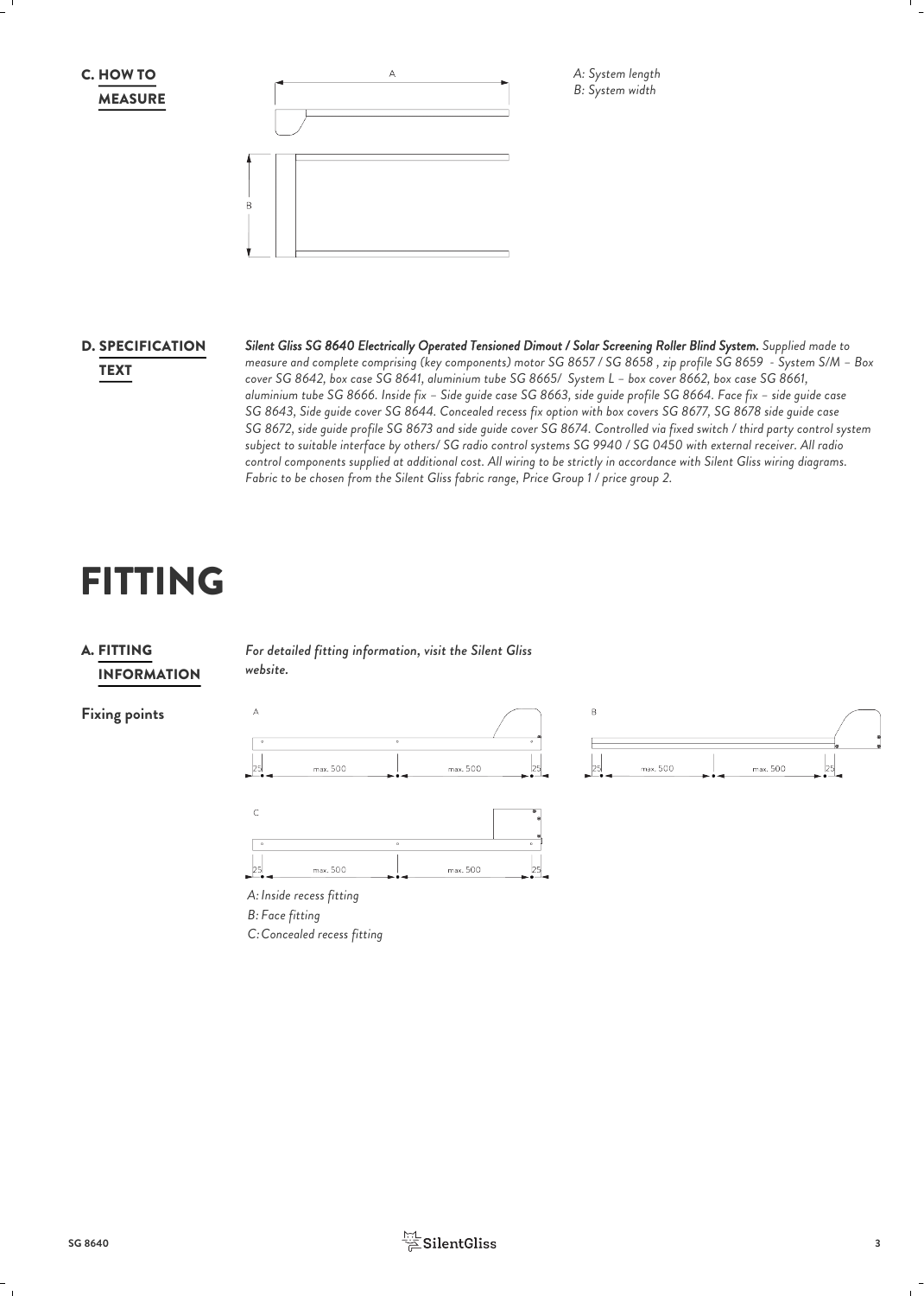



*A: System length B: System width*

# **D. SPECIFICATION**

*Silent Gliss SG 8640 Electrically Operated Tensioned Dimout / Solar Screening Roller Blind System. Supplied made to* SPECIFICATION *measure and complete comprising (key components) motor SG 8657 / SG 8658 , zip profile SG 8659 - System S/M – Box cover SG 8642, box case SG 8641, aluminium tube SG 8665/ System L – box cover 8662, box case SG 8661,* TEXT *aluminium tube SG 8666. Inside fix – Side guide case SG 8663, side guide profile SG 8664. Face fix – side guide case SG 8643, Side guide cover SG 8644. Concealed recess fix option with box covers SG 8677, SG 8678 side guide case SG 8672, side guide profile SG 8673 and side guide cover SG 8674. Controlled via fixed switch / third party control system subject to suitable interface by others/ SG radio control systems SG 9940 / SG 0450 with external receiver. All radio control components supplied at additional cost. All wiring to be strictly in accordance with Silent Gliss wiring diagrams. Fabric to be chosen from the Silent Gliss fabric range, Price Group 1 / price group 2.*

# FITTING



*For detailed fitting information, visit the Silent Gliss* FITTING *website.*

# **Fixing points**





*Inside recess fitting A: Face fitting B: Concealed recess fitting C:*

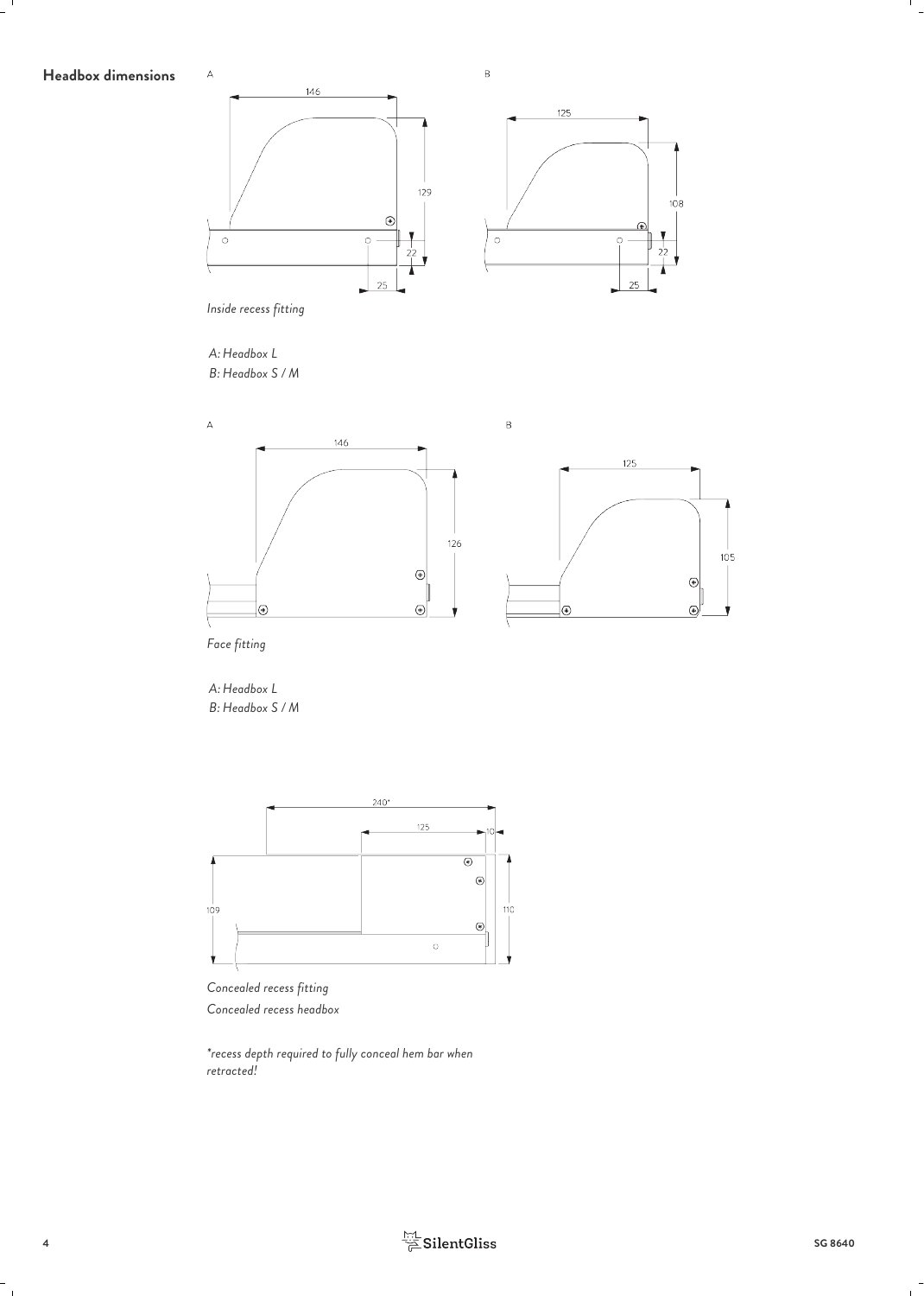# Headbox dimensions <sup>A</sup>



*Headbox L A: Headbox S / M B:*





*\*recess depth required to fully conceal hem bar when retracted!*

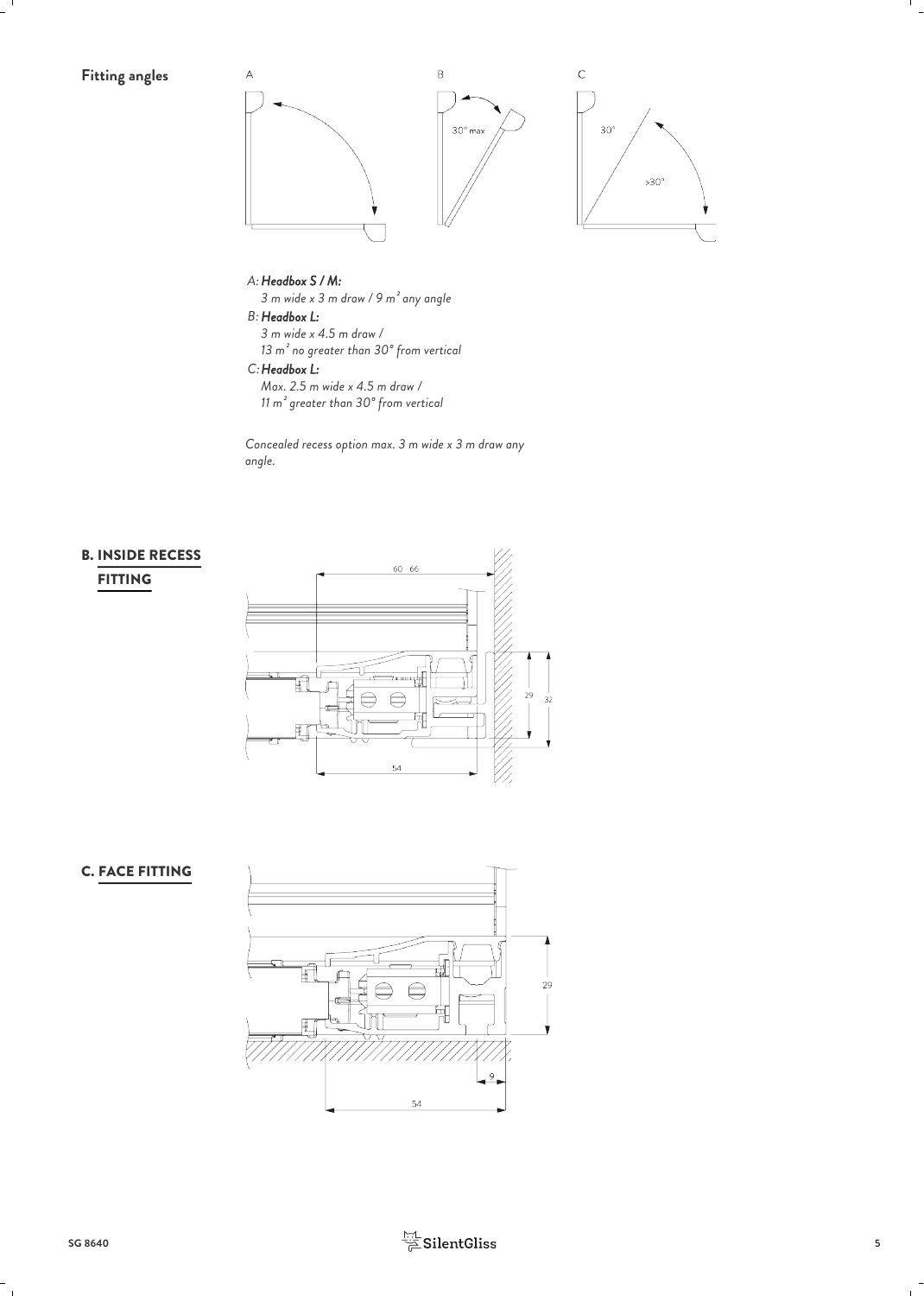

#### *Headbox S / M: A:*

*3 m wide x 3 m draw / 9 m² any angle*

#### *Headbox L: B:*

*3 m wide x 4.5 m draw / 13 m² no greater than 30° from vertical*

#### *Headbox L: C:*

*Max. 2.5 m wide x 4.5 m draw / 11 m² greater than 30° from vertical*

*Concealed recess option max. 3 m wide x 3 m draw any angle.*

# FITTING



# C. FACE FITTING



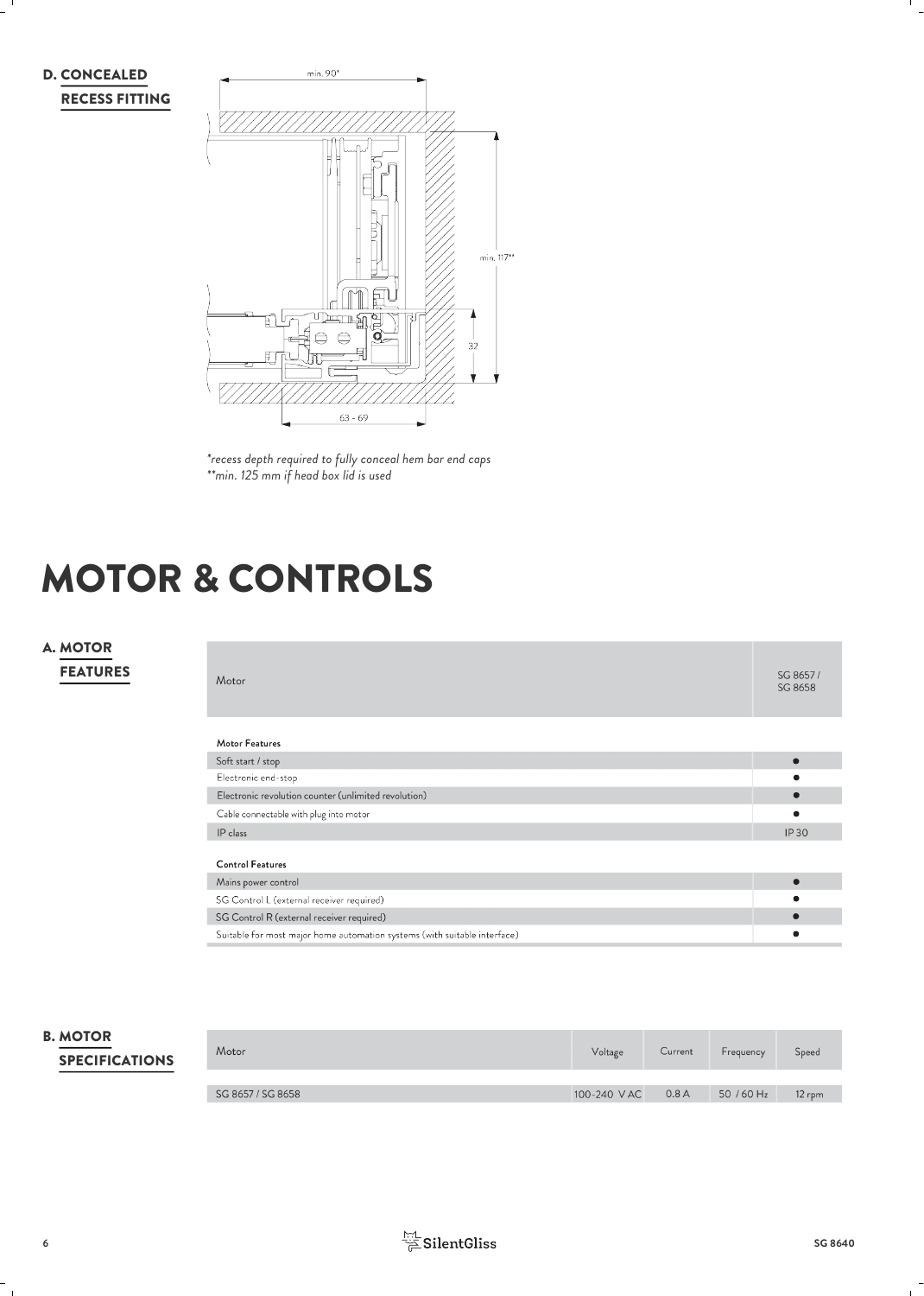



*\*recess depth required to fully conceal hem bar end caps \*\*min. 125 mm if head box lid is used*

# MOTOR & CONTROLS

# FEATURES

| A. MOTOR<br><b>FEATURES</b> | Motor                                                                     | SG 8657/<br>SG 8658 |
|-----------------------------|---------------------------------------------------------------------------|---------------------|
|                             | Motor Features                                                            |                     |
|                             | Soft start / stop                                                         | $\bullet$           |
|                             | Electronic end-stop                                                       |                     |
|                             | Electronic revolution counter (unlimited revolution)                      | п                   |
|                             | Cable connectable with plug into motor                                    |                     |
|                             | IP class                                                                  | <b>IP30</b>         |
|                             | <b>Control Features</b>                                                   |                     |
|                             | Mains power control                                                       | г                   |
|                             | SG Control L (external receiver required)                                 |                     |
|                             | SG Control R (external receiver required)                                 | г                   |
|                             | Suitable for most major home automation systems (with suitable interface) |                     |

# SPECIFICATIONS

| <b>B. MOTOR</b><br><b>SPECIFICATIONS</b> | Motor             | Voltage     | Current | Frequency  | Speed    |
|------------------------------------------|-------------------|-------------|---------|------------|----------|
|                                          |                   |             |         |            |          |
|                                          | SG 8657 / SG 8658 | 100-240 VAC | 0.8A    | 50 / 60 Hz | $12$ rpm |

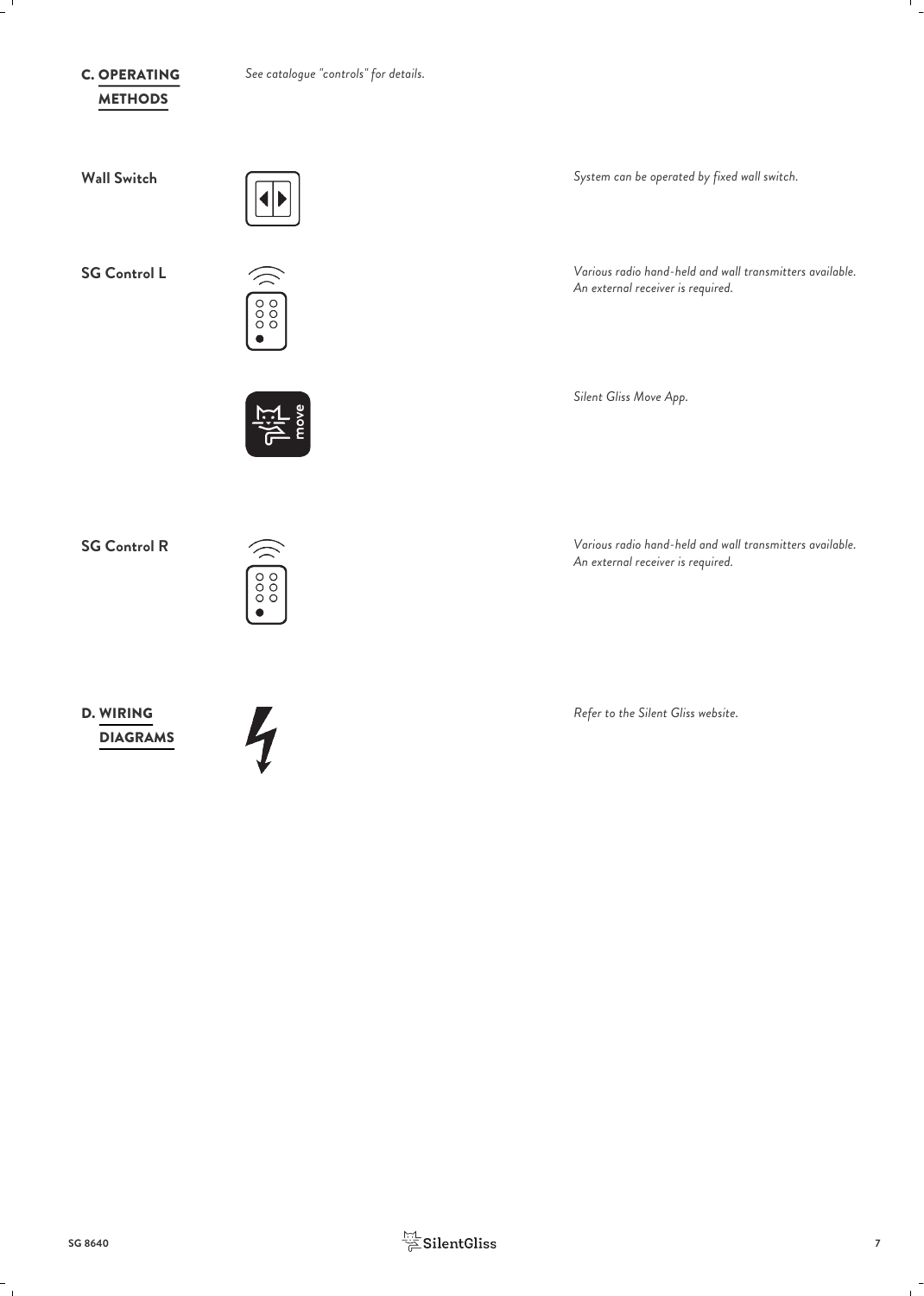# **METHODS C. OPERATING**

*See catalogue "controls" for details.* OPERATING



Þ



**Wall Switch** *System can be operated by fixed wall switch.*

**SG Control L** *Various radio hand-held and wall transmitters available. An external receiver is required.*

*Silent Gliss Move App.*

**SG Control R** *Various radio hand-held and wall transmitters available. An external receiver is required.*

*Refer to the Silent Gliss website.*



D. WIRING **Example 20** WIRING<br>DIAGRAMS

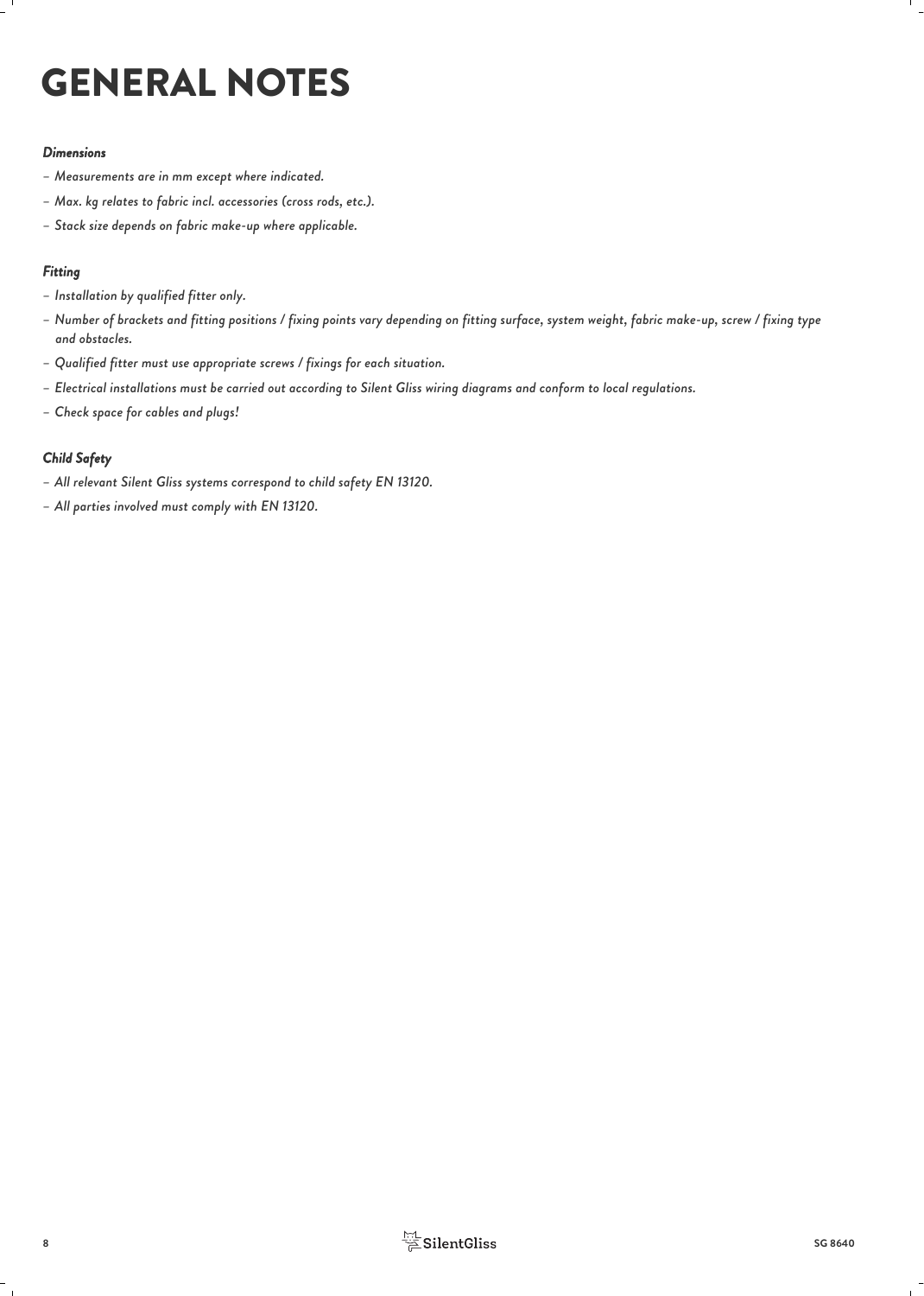# GENERAL NOTES

#### *Dimensions*

- *– Measurements are in mm except where indicated.*
- *– Max. kg relates to fabric incl. accessories (cross rods, etc.).*
- *– Stack size depends on fabric make-up where applicable.*

#### *Fitting*

- *– Installation by qualified fitter only.*
- *– Number of brackets and fitting positions / fixing points vary depending on fitting surface, system weight, fabric make-up, screw / fixing type and obstacles.*
- *– Qualified fitter must use appropriate screws / fixings for each situation.*
- *– Electrical installations must be carried out according to Silent Gliss wiring diagrams and conform to local regulations.*
- *– Check space for cables and plugs!*

## *Child Safety*

- *– All relevant Silent Gliss systems correspond to child safety EN 13120.*
- *– All parties involved must comply with EN 13120.*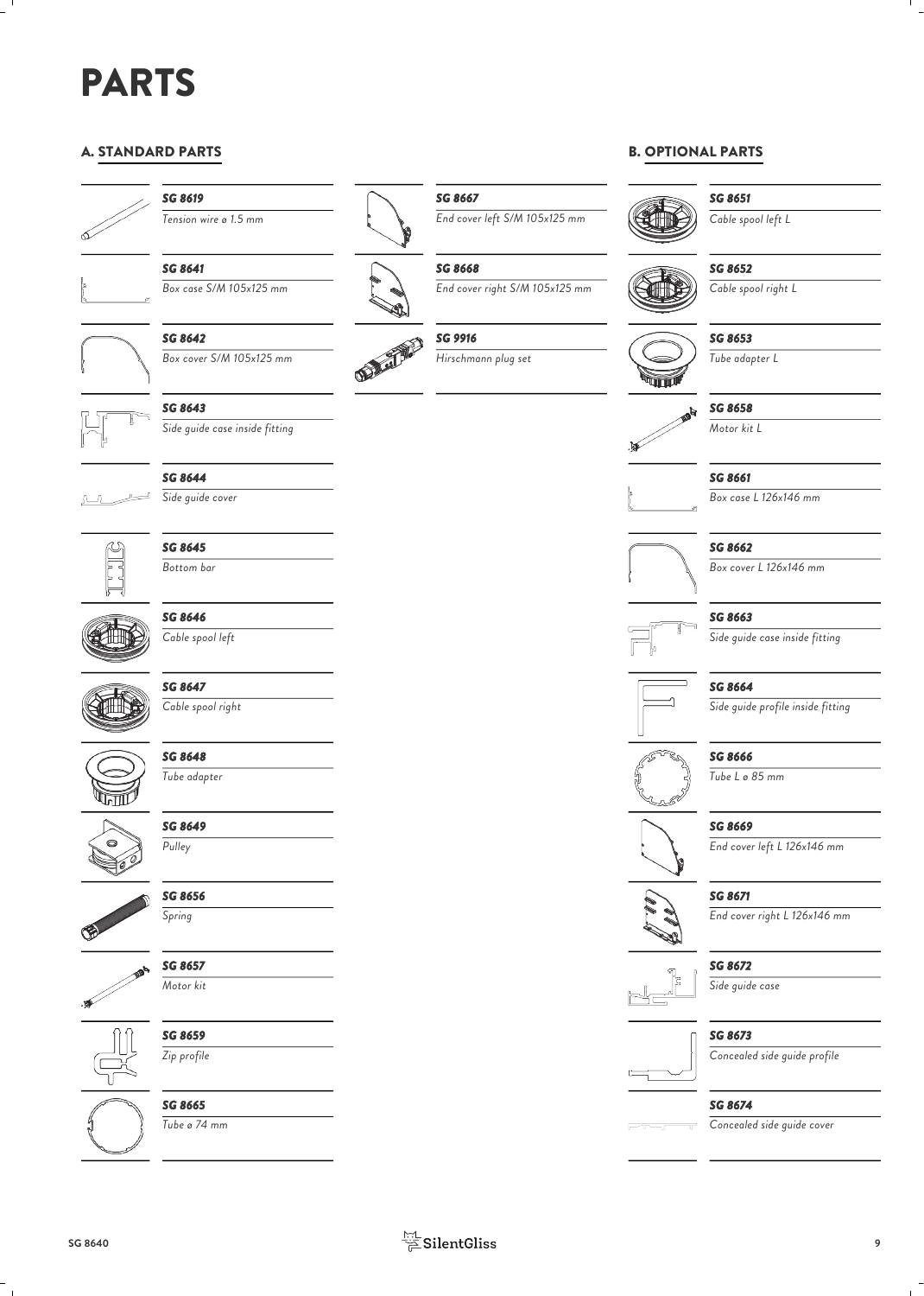# PARTS

# A. STANDARD PARTS



# *SG 8619*



*SG 8641*



**SG 8642**<br>Box cover S/M 105x125 mm *Box cover S/M 105x125 mm*



# *SG 8643*

*Side guide case inside fitting*



*SG 8644 Side guide cover*



# *SG 8645 Bottom bar*



*SG 8646 Cable spool left*



*SG 8647 Cable spool right*



*SG 8648 Tube adapter*

> *SG 8649 Pulley*



*SG 8656*



*Spring*







*SG 8659 Zip profile*



*Tube ø 74 mm*



*Tension wire ø 1.5 mm End cover left S/M 105x125 mm*

*SG 8668*

*SG 8667*

*Box case S/M 105x125 mm End cover right S/M 105x125 mm*

# *SG 9916*

*Hirschmann plug set*

# B. OPTIONAL PARTS



*SG 8651 Cable spool left L*

### *SG 8652*

*Cable spool right L*



*SG 8653*

*Tube adapter L*



#### *SG 8661*

*Box case L 126x146 mm*



#### *SG 8662*

*Box cover L 126x146 mm*

# *SG 8663*

*Side guide case inside fitting*



*SG 8664 Side guide profile inside fitting*

# *SG 8666*

*Tube L ø 85 mm*

## *SG 8669*

*End cover left L 126x146 mm*



Â

# *SG 8671*

*End cover right L 126x146 mm*



*SG 8672*

*Side guide case*

## *SG 8673*

*SG 8674*

*Concealed side guide profile*



#### *Concealed side guide cover*